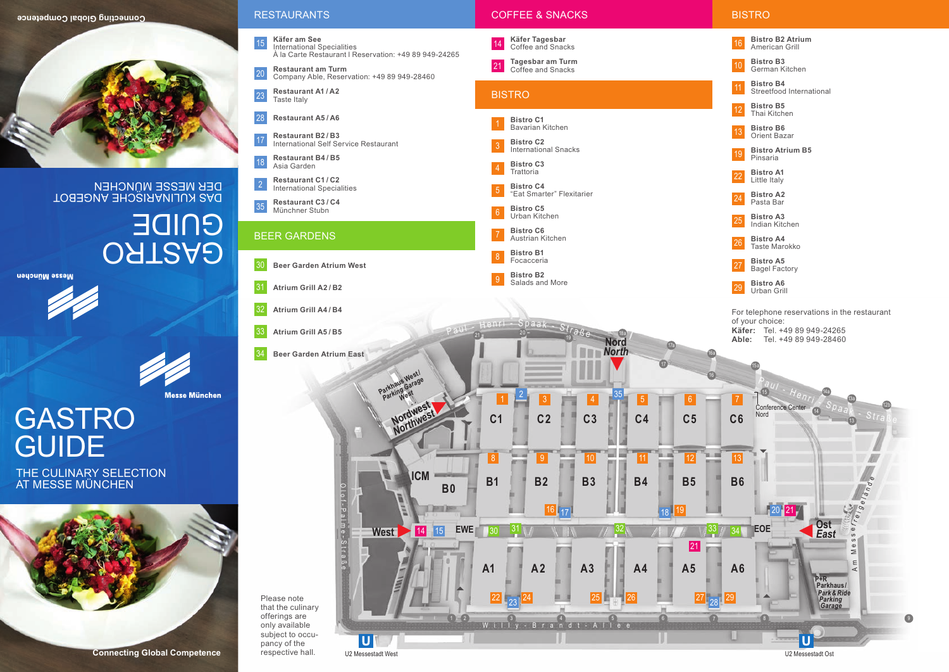

DAS KULINARISCHE ANGEBOT DER MESSE MÜNCHEN

> **OATRAQ** GUIDE

ueupunn essem





**Messe München** 

## GASTRO **GUIDE**

THE CULINARY SELECTION AT MESSE MÜNCHEN





U2 Messestadt West U2 Messestadt Ost